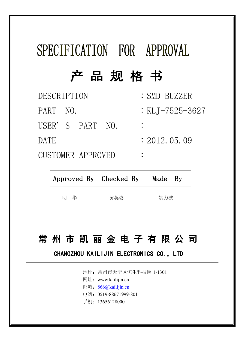# SPECIFICATION FOR APPROVAL

## 产品规格书

| <b>DESCRIPTION</b> | : SMD BUZZER    |
|--------------------|-----------------|
| PART NO.           | : KLJ-7525-3627 |
| USER'S PART NO.    |                 |
| DATE               | : 2012, 05, 09  |
| CUCTOMED ADDOUED   |                 |

CUSTOMER APPROVED :

| Approved By   Checked By |     | Made<br>Bv |
|--------------------------|-----|------------|
| 华<br>明                   | 黄英姿 | 姚力波        |

### 常 州 市 凯 丽 金 电 子 有 限 公 司

### CHANGZHOU KAILIJIN ELECTRONICS CO., LTD

- 地址:常州市天宁区恒生科技园 1-1301
- 网址:www.kailijin.cn
- 邮箱: [866@kailijin.cn](mailto:866@kailijin.cn)
- 电话:0519-88671999-801
- 手机:13656128000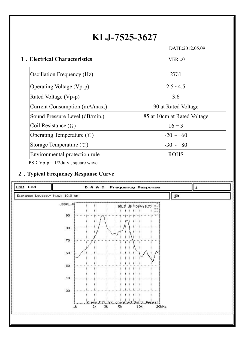## **KLJ-7525-3627**

DATE:2012.05.09

#### **1**﹒**Electrical Characteristics** VER .:0

| $2.5 - 4.5$<br>Operating Voltage (Vp-p)<br>Rated Voltage (Vp-p)<br>3.6<br>Current Consumption (mA/max.)<br>90 at Rated Voltage<br>Sound Pressure Level (dB/min.)<br>85 at 10cm at Rated Voltage<br>Coil Resistance ( $\Omega$ )<br>$16 \pm 3$<br>Operating Temperature $(\mathcal{C})$<br>$-20 \sim +60$<br>Storage Temperature $(\mathcal{C})$<br>$-30 \sim +80$ |
|-------------------------------------------------------------------------------------------------------------------------------------------------------------------------------------------------------------------------------------------------------------------------------------------------------------------------------------------------------------------|
|                                                                                                                                                                                                                                                                                                                                                                   |
|                                                                                                                                                                                                                                                                                                                                                                   |
|                                                                                                                                                                                                                                                                                                                                                                   |
|                                                                                                                                                                                                                                                                                                                                                                   |
|                                                                                                                                                                                                                                                                                                                                                                   |
|                                                                                                                                                                                                                                                                                                                                                                   |
|                                                                                                                                                                                                                                                                                                                                                                   |
| Environmental protection rule<br><b>ROHS</b>                                                                                                                                                                                                                                                                                                                      |

PS: Vp-p=1/2duty, square wave

#### **2**﹒**Typical Frequency Response Curve**

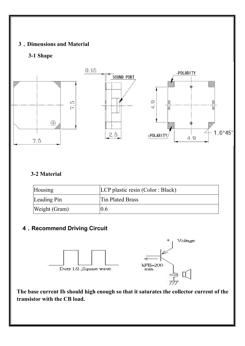#### **3**﹒**Dimensions and Material**

#### **3-1 Shape**



#### **3-2 Material**

| Housing       | LCP plastic resin (Color : Black) |
|---------------|-----------------------------------|
| Leading Pin   | <b>Tin Plated Brass</b>           |
| Weight (Gram) | 0.6                               |

#### **4**﹒**Recommend Driving Circuit**



**The base current Ib should high enough so that it saturates the collector current of the transistor with the CB load.**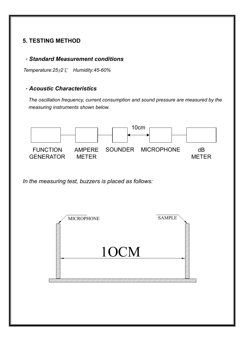#### **5. TESTING METHOD**

#### .*Standard Measurement conditions*

*Temperature:25*±*2*℃ *Humidity:45-60%*

#### .*Acoustic Characteristics*

*The oscillation frequency, current consumption and sound pressure are measured by the measuring instruments shown below.*



*In the measuring test, buzzers is placed as follows:*

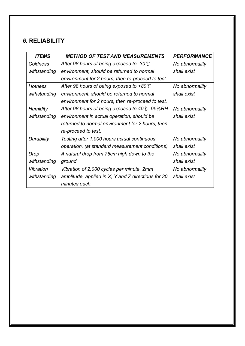#### *6.* **RELIABILITY**

| <b>ITEMS</b>    | <b>METHOD OF TEST AND MEASUREMENTS</b>                | <b>PERFORMANCE</b> |
|-----------------|-------------------------------------------------------|--------------------|
| Coldness        | After 98 hours of being exposed to -30 $\mathbb C$    | No abnormality     |
| withstanding    | environment, should be returned to normal             | shall exist        |
|                 | environment for 2 hours, then re-proceed to test.     |                    |
| <b>Hotness</b>  | After 98 hours of being exposed to +80 $\mathcal C$   | No abnormality     |
| withstanding    | environment, should be returned to normal             | shall exist        |
|                 | environment for 2 hours, then re-proceed to test.     |                    |
| <b>Humidity</b> | After 98 hours of being exposed to 40 $\degree$ 95%RH | No abnormality     |
| withstanding    | environment in actual operation, should be            | shall exist        |
|                 | returned to normal environment for 2 hours, then      |                    |
|                 | re-proceed to test.                                   |                    |
| Durability      | Testing after 1,000 hours actual continuous           | No abnormality     |
|                 | operation. (at standard measurement conditions)       | shall exist        |
| Drop            | A natural drop from 75cm high down to the             | No abnormality     |
| withstanding    | ground.                                               | shall exist        |
| Vibration       | Vibration of 2,000 cycles per minute, 2mm             | No abnormality     |
| withstanding    | amplitude, applied in $X$ , Y and Z directions for 30 | shall exist        |
|                 | minutes each.                                         |                    |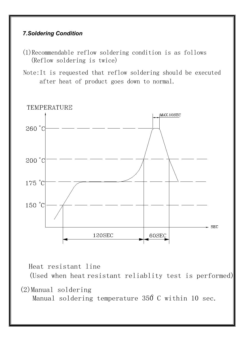#### *7.Soldering Condition*

- (1)Recommendable reflow soldering condition is as follows (Reflow soldering is twice)
- after heat of product goes down to normal. Note:It is requested that reflow soldering should be executed



Heat resistant line

(Used when heat resistant reliablity test is performed)

(2)Manual soldering

Manual soldering temperature 350 C within 10 sec.